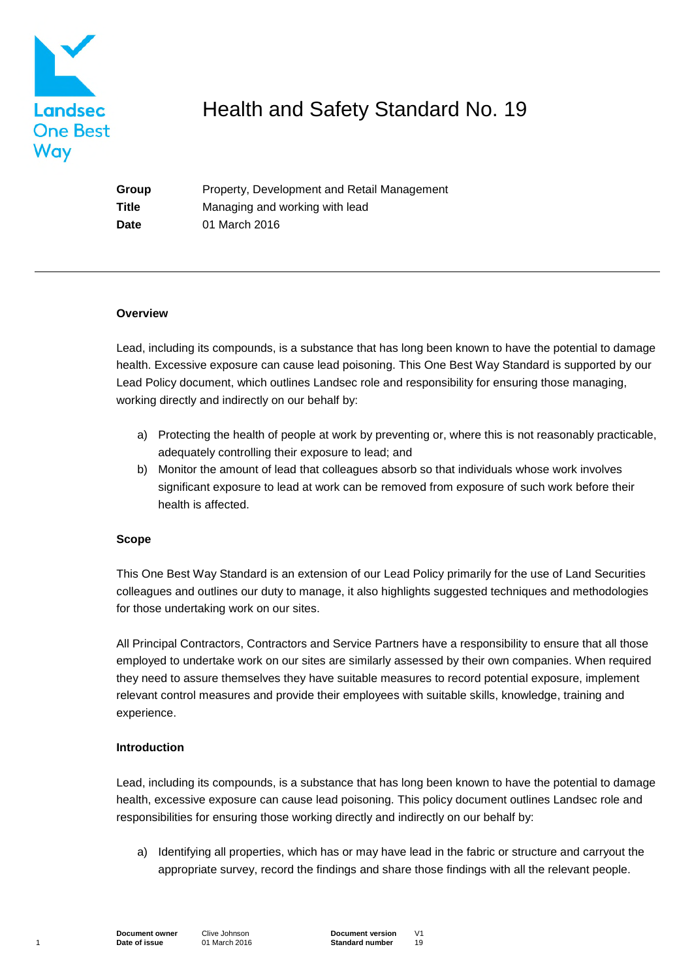

# Health and Safety Standard No. 19

**Group** Property, Development and Retail Management **Title** Managing and working with lead **Date** 01 March 2016

#### **Overview**

Lead, including its compounds, is a substance that has long been known to have the potential to damage health. Excessive exposure can cause lead poisoning. This One Best Way Standard is supported by our Lead Policy document, which outlines Landsec role and responsibility for ensuring those managing, working directly and indirectly on our behalf by:

- a) Protecting the health of people at work by preventing or, where this is not reasonably practicable, adequately controlling their exposure to lead; and
- b) Monitor the amount of lead that colleagues absorb so that individuals whose work involves significant exposure to lead at work can be removed from exposure of such work before their health is affected.

## **Scope**

This One Best Way Standard is an extension of our Lead Policy primarily for the use of Land Securities colleagues and outlines our duty to manage, it also highlights suggested techniques and methodologies for those undertaking work on our sites.

All Principal Contractors, Contractors and Service Partners have a responsibility to ensure that all those employed to undertake work on our sites are similarly assessed by their own companies. When required they need to assure themselves they have suitable measures to record potential exposure, implement relevant control measures and provide their employees with suitable skills, knowledge, training and experience.

## **Introduction**

Lead, including its compounds, is a substance that has long been known to have the potential to damage health, excessive exposure can cause lead poisoning. This policy document outlines Landsec role and responsibilities for ensuring those working directly and indirectly on our behalf by:

a) Identifying all properties, which has or may have lead in the fabric or structure and carryout the appropriate survey, record the findings and share those findings with all the relevant people.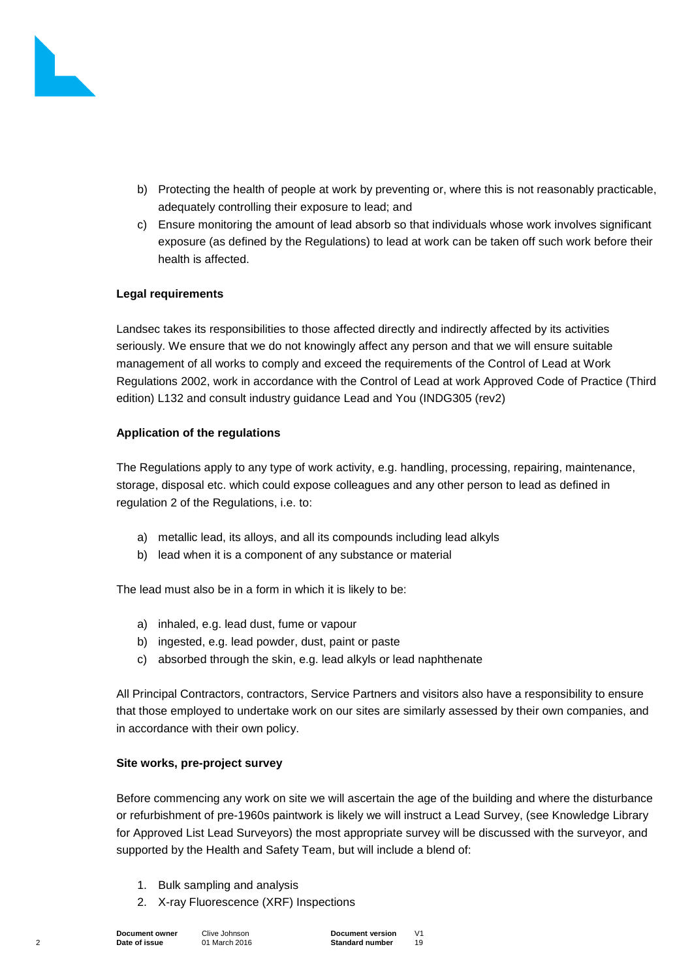

- b) Protecting the health of people at work by preventing or, where this is not reasonably practicable, adequately controlling their exposure to lead; and
- c) Ensure monitoring the amount of lead absorb so that individuals whose work involves significant exposure (as defined by the Regulations) to lead at work can be taken off such work before their health is affected.

## **Legal requirements**

Landsec takes its responsibilities to those affected directly and indirectly affected by its activities seriously. We ensure that we do not knowingly affect any person and that we will ensure suitable management of all works to comply and exceed the requirements of the Control of Lead at Work Regulations 2002, work in accordance with the Control of Lead at work Approved Code of Practice (Third edition) L132 and consult industry guidance Lead and You (INDG305 (rev2)

# **Application of the regulations**

The Regulations apply to any type of work activity, e.g. handling, processing, repairing, maintenance, storage, disposal etc. which could expose colleagues and any other person to lead as defined in regulation 2 of the Regulations, i.e. to:

- a) metallic lead, its alloys, and all its compounds including lead alkyls
- b) lead when it is a component of any substance or material

The lead must also be in a form in which it is likely to be:

- a) inhaled, e.g. lead dust, fume or vapour
- b) ingested, e.g. lead powder, dust, paint or paste
- c) absorbed through the skin, e.g. lead alkyls or lead naphthenate

All Principal Contractors, contractors, Service Partners and visitors also have a responsibility to ensure that those employed to undertake work on our sites are similarly assessed by their own companies, and in accordance with their own policy.

## **Site works, pre-project survey**

Before commencing any work on site we will ascertain the age of the building and where the disturbance or refurbishment of pre-1960s paintwork is likely we will instruct a Lead Survey, (see Knowledge Library for Approved List Lead Surveyors) the most appropriate survey will be discussed with the surveyor, and supported by the Health and Safety Team, but will include a blend of:

- 1. Bulk sampling and analysis
- 2. X-ray Fluorescence (XRF) Inspections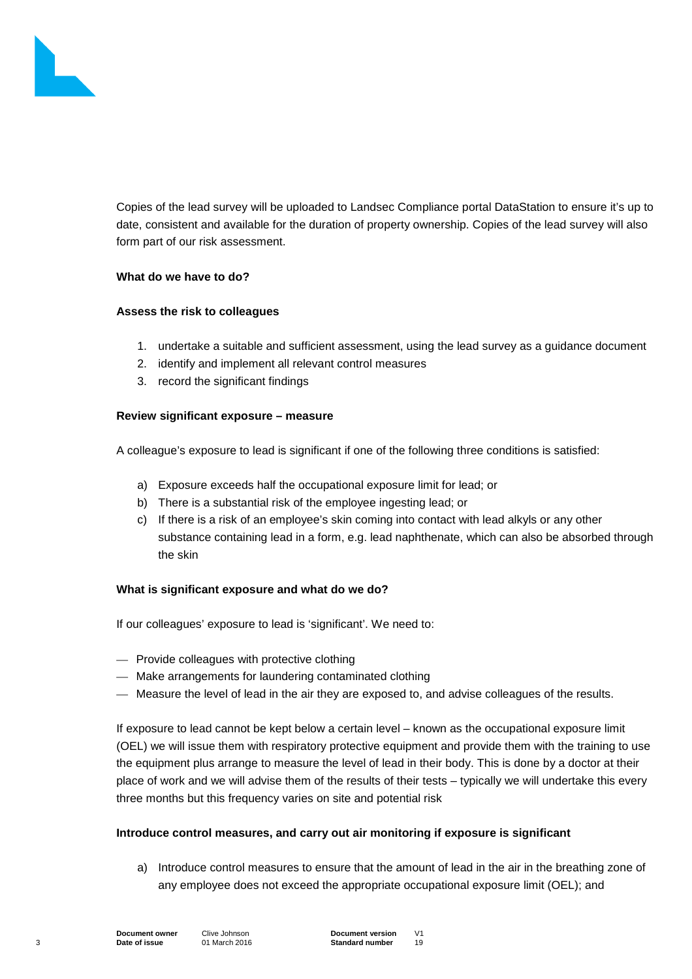

Copies of the lead survey will be uploaded to Landsec Compliance portal DataStation to ensure it's up to date, consistent and available for the duration of property ownership. Copies of the lead survey will also form part of our risk assessment.

#### **What do we have to do?**

#### **Assess the risk to colleagues**

- 1. undertake a suitable and sufficient assessment, using the lead survey as a guidance document
- 2. identify and implement all relevant control measures
- 3. record the significant findings

#### **Review significant exposure – measure**

A colleague's exposure to lead is significant if one of the following three conditions is satisfied:

- a) Exposure exceeds half the occupational exposure limit for lead; or
- b) There is a substantial risk of the employee ingesting lead; or
- c) If there is a risk of an employee's skin coming into contact with lead alkyls or any other substance containing lead in a form, e.g. lead naphthenate, which can also be absorbed through the skin

## **What is significant exposure and what do we do?**

If our colleagues' exposure to lead is 'significant'. We need to:

- Provide colleagues with protective clothing
- Make arrangements for laundering contaminated clothing
- Measure the level of lead in the air they are exposed to, and advise colleagues of the results.

If exposure to lead cannot be kept below a certain level – known as the occupational exposure limit (OEL) we will issue them with respiratory protective equipment and provide them with the training to use the equipment plus arrange to measure the level of lead in their body. This is done by a doctor at their place of work and we will advise them of the results of their tests – typically we will undertake this every three months but this frequency varies on site and potential risk

## **Introduce control measures, and carry out air monitoring if exposure is significant**

a) Introduce control measures to ensure that the amount of lead in the air in the breathing zone of any employee does not exceed the appropriate occupational exposure limit (OEL); and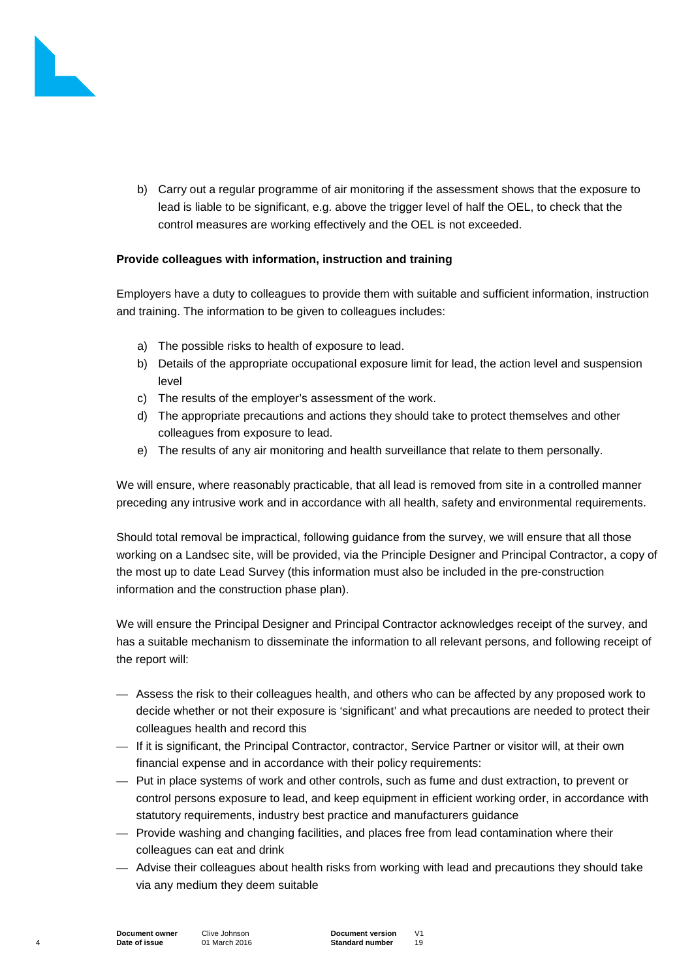

b) Carry out a regular programme of air monitoring if the assessment shows that the exposure to lead is liable to be significant, e.g. above the trigger level of half the OEL, to check that the control measures are working effectively and the OEL is not exceeded.

# **Provide colleagues with information, instruction and training**

Employers have a duty to colleagues to provide them with suitable and sufficient information, instruction and training. The information to be given to colleagues includes:

- a) The possible risks to health of exposure to lead.
- b) Details of the appropriate occupational exposure limit for lead, the action level and suspension level
- c) The results of the employer's assessment of the work.
- d) The appropriate precautions and actions they should take to protect themselves and other colleagues from exposure to lead.
- e) The results of any air monitoring and health surveillance that relate to them personally.

We will ensure, where reasonably practicable, that all lead is removed from site in a controlled manner preceding any intrusive work and in accordance with all health, safety and environmental requirements.

Should total removal be impractical, following guidance from the survey, we will ensure that all those working on a Landsec site, will be provided, via the Principle Designer and Principal Contractor, a copy of the most up to date Lead Survey (this information must also be included in the pre-construction information and the construction phase plan).

We will ensure the Principal Designer and Principal Contractor acknowledges receipt of the survey, and has a suitable mechanism to disseminate the information to all relevant persons, and following receipt of the report will:

- Assess the risk to their colleagues health, and others who can be affected by any proposed work to decide whether or not their exposure is 'significant' and what precautions are needed to protect their colleagues health and record this
- If it is significant, the Principal Contractor, contractor, Service Partner or visitor will, at their own financial expense and in accordance with their policy requirements:
- Put in place systems of work and other controls, such as fume and dust extraction, to prevent or control persons exposure to lead, and keep equipment in efficient working order, in accordance with statutory requirements, industry best practice and manufacturers guidance
- Provide washing and changing facilities, and places free from lead contamination where their colleagues can eat and drink
- Advise their colleagues about health risks from working with lead and precautions they should take via any medium they deem suitable